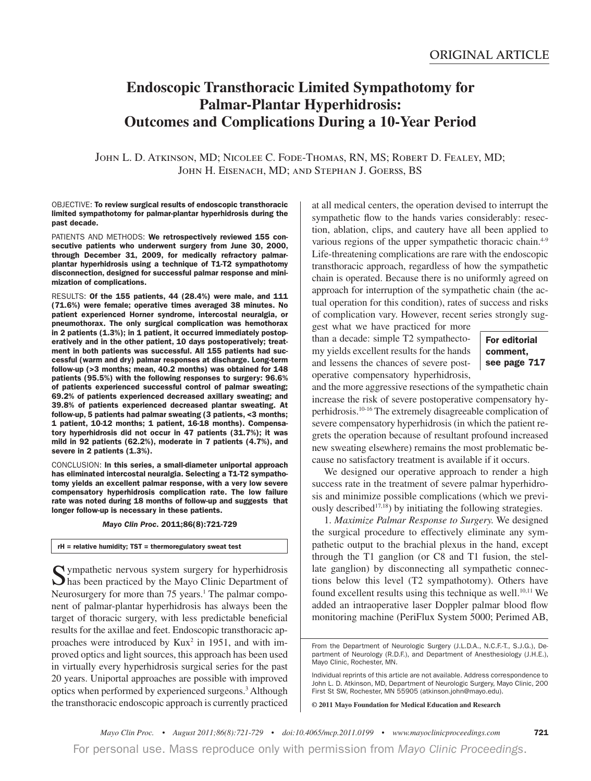# **Endoscopic Transthoracic Limited Sympathotomy for Palmar-Plantar Hyperhidrosis: Outcomes and Complications During a 10-Year Period**

John L. D. Atkinson, MD; Nicolee C. Fode-Thomas, RN, MS; Robert D. Fealey, MD; JOHN H. EISENACH, MD; AND STEPHAN J. GOERSS, BS

Objective: To review surgical results of endoscopic transthoracic limited sympathotomy for palmar-plantar hyperhidrosis during the past decade.

PATIENTS AND METHODS: We retrospectively reviewed 155 consecutive patients who underwent surgery from June 30, 2000, through December 31, 2009, for medically refractory palmarplantar hyperhidrosis using a technique of T1-T2 sympathotomy disconnection, designed for successful palmar response and minimization of complications.

RESULTS: Of the 155 patients, 44 (28.4%) were male, and 111 (71.6%) were female; operative times averaged 38 minutes. No patient experienced Horner syndrome, intercostal neuralgia, or pneumothorax. The only surgical complication was hemothorax in 2 patients (1.3%); in 1 patient, it occurred immediately postoperatively and in the other patient, 10 days postoperatively; treatment in both patients was successful. All 155 patients had successful (warm and dry) palmar responses at discharge. Long-term follow-up (>3 months; mean, 40.2 months) was obtained for 148 patients (95.5%) with the following responses to surgery: 96.6% of patients experienced successful control of palmar sweating; 69.2% of patients experienced decreased axillary sweating; and 39.8% of patients experienced decreased plantar sweating. At follow-up, 5 patients had palmar sweating (3 patients, <3 months; 1 patient, 10-12 months; 1 patient, 16-18 months). Compensatory hyperhidrosis did not occur in 47 patients (31.7%); it was mild in 92 patients (62.2%), moderate in 7 patients (4.7%), and severe in 2 patients (1.3%).

Conclusion: In this series, a small-diameter uniportal approach has eliminated intercostal neuralgia. Selecting a T1-T2 sympathotomy yields an excellent palmar response, with a very low severe compensatory hyperhidrosis complication rate. The low failure rate was noted during 18 months of follow-up and suggests that longer follow-up is necessary in these patients.

#### *Mayo Clin Proc*. 2011;86(8):721-729

rH = relative humidity; TST = thermoregulatory sweat test

Sympathetic nervous system surgery for hyperhidrosis has been practiced by the Mayo Clinic Department of Neurosurgery for more than 75 years.<sup>1</sup> The palmar component of palmar-plantar hyperhidrosis has always been the target of thoracic surgery, with less predictable beneficial results for the axillae and feet. Endoscopic transthoracic approaches were introduced by Kux<sup>2</sup> in 1951, and with improved optics and light sources, this approach has been used in virtually every hyperhidrosis surgical series for the past 20 years. Uniportal approaches are possible with improved optics when performed by experienced surgeons.3 Although the transthoracic endoscopic approach is currently practiced

at all medical centers, the operation devised to interrupt the sympathetic flow to the hands varies considerably: resection, ablation, clips, and cautery have all been applied to various regions of the upper sympathetic thoracic chain.<sup>4-9</sup> Life-threatening complications are rare with the endoscopic transthoracic approach, regardless of how the sympathetic chain is operated. Because there is no uniformly agreed on approach for interruption of the sympathetic chain (the actual operation for this condition), rates of success and risks of complication vary. However, recent series strongly sug-

gest what we have practiced for more than a decade: simple T2 sympathectomy yields excellent results for the hands and lessens the chances of severe postoperative compensatory hyperhidrosis,

# For editorial comment, see page 717

and the more aggressive resections of the sympathetic chain increase the risk of severe postoperative compensatory hyperhidrosis.10-16 The extremely disagreeable complication of severe compensatory hyperhidrosis (in which the patient regrets the operation because of resultant profound increased new sweating elsewhere) remains the most problematic because no satisfactory treatment is available if it occurs.

We designed our operative approach to render a high success rate in the treatment of severe palmar hyperhidrosis and minimize possible complications (which we previously described<sup>17,18</sup>) by initiating the following strategies.

1. *Maximize Palmar Response to Surgery.* We designed the surgical procedure to effectively eliminate any sympathetic output to the brachial plexus in the hand, except through the T1 ganglion (or C8 and T1 fusion, the stellate ganglion) by disconnecting all sympathetic connections below this level (T2 sympathotomy). Others have found excellent results using this technique as well.<sup>10,11</sup> We added an intraoperative laser Doppler palmar blood flow monitoring machine (PeriFlux System 5000; Perimed AB,

**© 2011 Mayo Foundation for Medical Education and Research**

From the Department of Neurologic Surgery (J.L.D.A., N.C.F.-T., S.J.G.), Department of Neurology (R.D.F.), and Department of Anesthesiology (J.H.E.), Mayo Clinic, Rochester, MN.

Individual reprints of this article are not available. Address correspondence to John L. D. Atkinson, MD, Department of Neurologic Surgery, Mayo Clinic, 200 First St SW, Rochester, MN 55905 (atkinson.john@mayo.edu).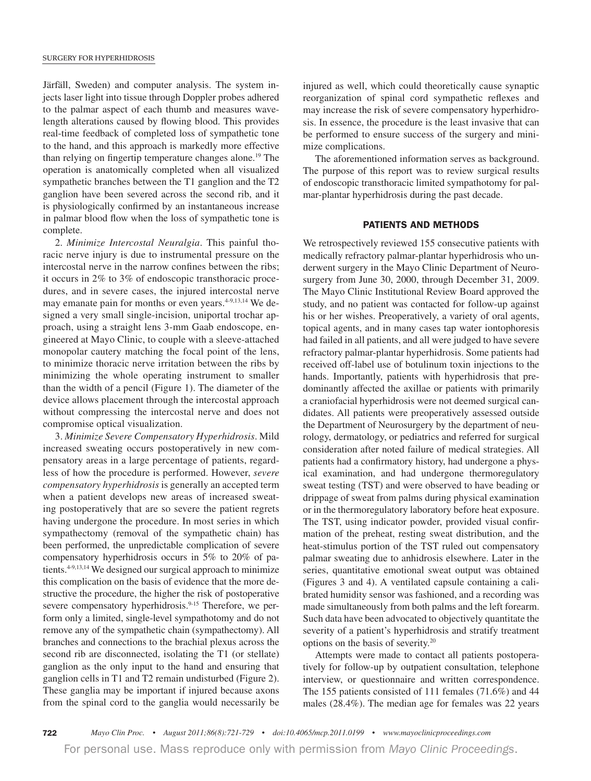Järfäll, Sweden) and computer analysis. The system injects laser light into tissue through Doppler probes adhered to the palmar aspect of each thumb and measures wavelength alterations caused by flowing blood. This provides real-time feedback of completed loss of sympathetic tone to the hand, and this approach is markedly more effective than relying on fingertip temperature changes alone.<sup>19</sup> The operation is anatomically completed when all visualized sympathetic branches between the T1 ganglion and the T2 ganglion have been severed across the second rib, and it is physiologically confirmed by an instantaneous increase in palmar blood flow when the loss of sympathetic tone is complete.

2. *Minimize Intercostal Neuralgia*. This painful thoracic nerve injury is due to instrumental pressure on the intercostal nerve in the narrow confines between the ribs; it occurs in 2% to 3% of endoscopic transthoracic procedures, and in severe cases, the injured intercostal nerve may emanate pain for months or even years.<sup>4-9,13,14</sup> We designed a very small single-incision, uniportal trochar approach, using a straight lens 3-mm Gaab endoscope, engineered at Mayo Clinic, to couple with a sleeve-attached monopolar cautery matching the focal point of the lens, to minimize thoracic nerve irritation between the ribs by minimizing the whole operating instrument to smaller than the width of a pencil (Figure 1). The diameter of the device allows placement through the intercostal approach without compressing the intercostal nerve and does not compromise optical visualization.

3. *Minimize Severe Compensatory Hyperhidrosis*. Mild increased sweating occurs postoperatively in new compensatory areas in a large percentage of patients, regardless of how the procedure is performed. However, *severe compensatory hyperhidrosis* is generally an accepted term when a patient develops new areas of increased sweating postoperatively that are so severe the patient regrets having undergone the procedure. In most series in which sympathectomy (removal of the sympathetic chain) has been performed, the unpredictable complication of severe compensatory hyperhidrosis occurs in 5% to 20% of patients.<sup>4-9,13,14</sup> We designed our surgical approach to minimize this complication on the basis of evidence that the more destructive the procedure, the higher the risk of postoperative severe compensatory hyperhidrosis.<sup>9-15</sup> Therefore, we perform only a limited, single-level sympathotomy and do not remove any of the sympathetic chain (sympathectomy). All branches and connections to the brachial plexus across the second rib are disconnected, isolating the T1 (or stellate) ganglion as the only input to the hand and ensuring that ganglion cells in T1 and T2 remain undisturbed (Figure 2). These ganglia may be important if injured because axons from the spinal cord to the ganglia would necessarily be

injured as well, which could theoretically cause synaptic reorganization of spinal cord sympathetic reflexes and may increase the risk of severe compensatory hyperhidrosis. In essence, the procedure is the least invasive that can be performed to ensure success of the surgery and minimize complications.

The aforementioned information serves as background. The purpose of this report was to review surgical results of endoscopic transthoracic limited sympathotomy for palmar-plantar hyperhidrosis during the past decade.

# PATIENTS AND METHODS

We retrospectively reviewed 155 consecutive patients with medically refractory palmar-plantar hyperhidrosis who underwent surgery in the Mayo Clinic Department of Neurosurgery from June 30, 2000, through December 31, 2009. The Mayo Clinic Institutional Review Board approved the study, and no patient was contacted for follow-up against his or her wishes. Preoperatively, a variety of oral agents, topical agents, and in many cases tap water iontophoresis had failed in all patients, and all were judged to have severe refractory palmar-plantar hyperhidrosis. Some patients had received off-label use of botulinum toxin injections to the hands. Importantly, patients with hyperhidrosis that predominantly affected the axillae or patients with primarily a craniofacial hyperhidrosis were not deemed surgical candidates. All patients were preoperatively assessed outside the Department of Neurosurgery by the department of neurology, dermatology, or pediatrics and referred for surgical consideration after noted failure of medical strategies. All patients had a confirmatory history, had undergone a physical examination, and had undergone thermoregulatory sweat testing (TST) and were observed to have beading or drippage of sweat from palms during physical examination or in the thermoregulatory laboratory before heat exposure. The TST, using indicator powder, provided visual confirmation of the preheat, resting sweat distribution, and the heat-stimulus portion of the TST ruled out compensatory palmar sweating due to anhidrosis elsewhere. Later in the series, quantitative emotional sweat output was obtained (Figures 3 and 4). A ventilated capsule containing a calibrated humidity sensor was fashioned, and a recording was made simultaneously from both palms and the left forearm. Such data have been advocated to objectively quantitate the severity of a patient's hyperhidrosis and stratify treatment options on the basis of severity.20

Attempts were made to contact all patients postoperatively for follow-up by outpatient consultation, telephone interview, or questionnaire and written correspondence. The 155 patients consisted of 111 females (71.6%) and 44 males (28.4%). The median age for females was 22 years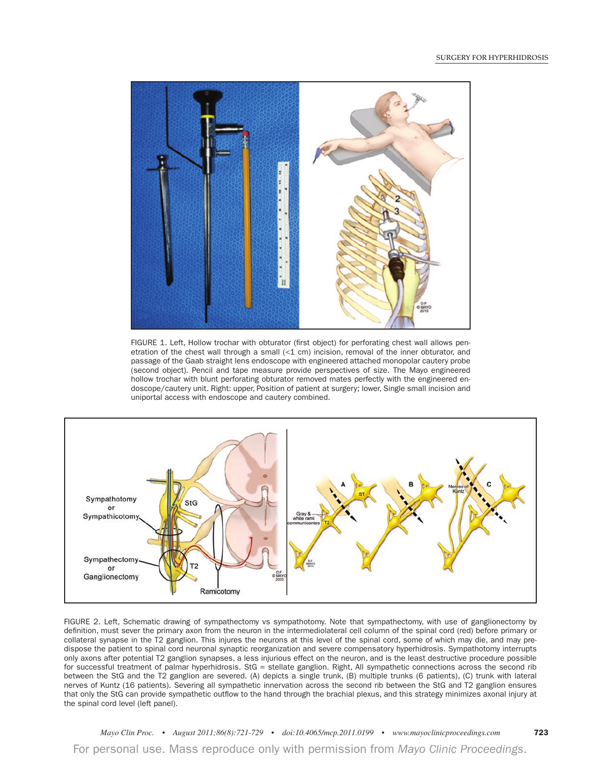

FIGURE 1. Left, Hollow trochar with obturator (first object) for perforating chest wall allows penetration of the chest wall through a small (<1 cm) incision, removal of the inner obturator, and passage of the Gaab straight lens endoscope with engineered attached monopolar cautery probe (second object). Pencil and tape measure provide perspectives of size. The Mayo engineered hollow trochar with blunt perforating obturator removed mates perfectly with the engineered endoscope/cautery unit. Right: upper, Position of patient at surgery; lower, Single small incision and uniportal access with endoscope and cautery combined.



FIGURE 2. Left, Schematic drawing of sympathectomy vs sympathotomy. Note that sympathectomy, with use of ganglionectomy by definition, must sever the primary axon from the neuron in the intermediolateral cell column of the spinal cord (red) before primary or collateral synapse in the T2 ganglion. This injures the neurons at this level of the spinal cord, some of which may die, and may predispose the patient to spinal cord neuronal synaptic reorganization and severe compensatory hyperhidrosis. Sympathotomy interrupts only axons after potential T2 ganglion synapses, a less injurious effect on the neuron, and is the least destructive procedure possible for successful treatment of palmar hyperhidrosis. StG = stellate ganglion. Right, All sympathetic connections across the second rib between the StG and the T2 ganglion are severed. (A) depicts a single trunk, (B) multiple trunks (6 patients), (C) trunk with lateral nerves of Kuntz (16 patients). Severing all sympathetic innervation across the second rib between the StG and T2 ganglion ensures that only the StG can provide sympathetic outflow to the hand through the brachial plexus, and this strategy minimizes axonal injury at the spinal cord level (left panel).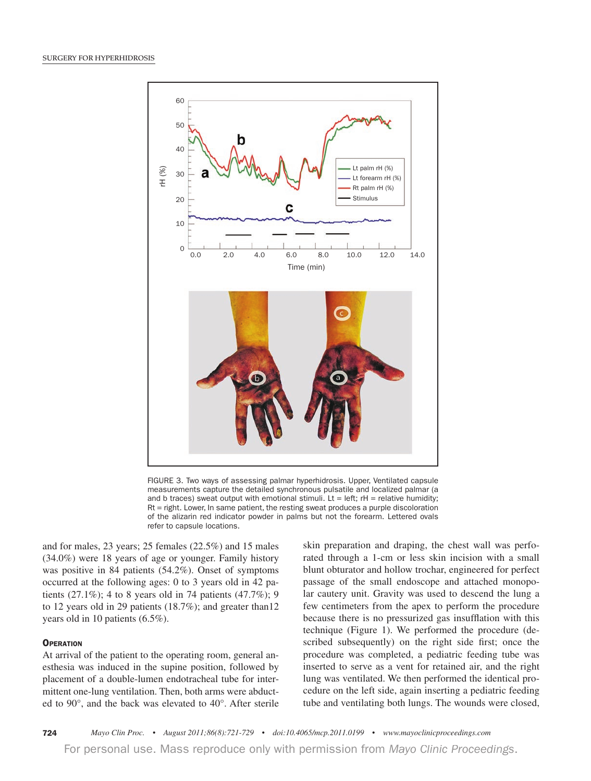

FIGURE 3. Two ways of assessing palmar hyperhidrosis. Upper, Ventilated capsule measurements capture the detailed synchronous pulsatile and localized palmar (a and b traces) sweat output with emotional stimuli. Lt = left;  $rH$  = relative humidity; Rt = right. Lower, In same patient, the resting sweat produces a purple discoloration of the alizarin red indicator powder in palms but not the forearm. Lettered ovals refer to capsule locations.

and for males, 23 years; 25 females (22.5%) and 15 males (34.0%) were 18 years of age or younger. Family history was positive in 84 patients (54.2%). Onset of symptoms occurred at the following ages: 0 to 3 years old in 42 patients (27.1%); 4 to 8 years old in 74 patients (47.7%); 9 to 12 years old in 29 patients (18.7%); and greater than12 years old in 10 patients (6.5%).

#### **OPERATION**

At arrival of the patient to the operating room, general anesthesia was induced in the supine position, followed by placement of a double-lumen endotracheal tube for intermittent one-lung ventilation. Then, both arms were abducted to 90°, and the back was elevated to 40°. After sterile skin preparation and draping, the chest wall was perforated through a 1-cm or less skin incision with a small blunt obturator and hollow trochar, engineered for perfect passage of the small endoscope and attached monopolar cautery unit. Gravity was used to descend the lung a few centimeters from the apex to perform the procedure because there is no pressurized gas insufflation with this technique (Figure 1). We performed the procedure (described subsequently) on the right side first; once the procedure was completed, a pediatric feeding tube was inserted to serve as a vent for retained air, and the right lung was ventilated. We then performed the identical procedure on the left side, again inserting a pediatric feeding tube and ventilating both lungs. The wounds were closed,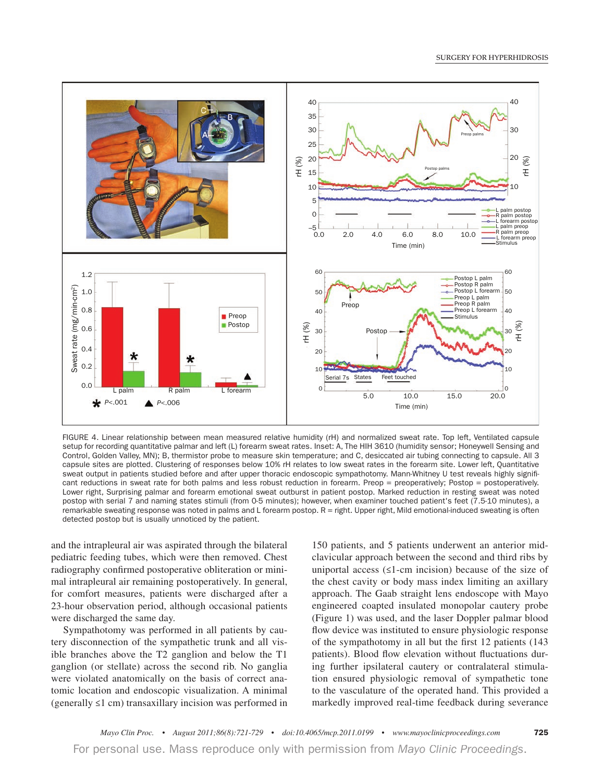

FIGURE 4. Linear relationship between mean measured relative humidity (rH) and normalized sweat rate. Top left, Ventilated capsule setup for recording quantitative palmar and left (L) forearm sweat rates. Inset: A, The HIH 3610 (humidity sensor; Honeywell Sensing and Control, Golden Valley, MN); B, thermistor probe to measure skin temperature; and C, desiccated air tubing connecting to capsule. All 3 capsule sites are plotted. Clustering of responses below 10% rH relates to low sweat rates in the forearm site. Lower left, Quantitative sweat output in patients studied before and after upper thoracic endoscopic sympathotomy. Mann-Whitney U test reveals highly significant reductions in sweat rate for both palms and less robust reduction in forearm. Preop = preoperatively; Postop = postoperatively. Lower right, Surprising palmar and forearm emotional sweat outburst in patient postop. Marked reduction in resting sweat was noted postop with serial 7 and naming states stimuli (from 0-5 minutes); however, when examiner touched patient's feet (7.5-10 minutes), a remarkable sweating response was noted in palms and L forearm postop. R = right. Upper right, Mild emotional-induced sweating is often detected postop but is usually unnoticed by the patient.

and the intrapleural air was aspirated through the bilateral pediatric feeding tubes, which were then removed. Chest radiography confirmed postoperative obliteration or minimal intrapleural air remaining postoperatively. In general, for comfort measures, patients were discharged after a 23-hour observation period, although occasional patients were discharged the same day.

Sympathotomy was performed in all patients by cautery disconnection of the sympathetic trunk and all visible branches above the T2 ganglion and below the T1 ganglion (or stellate) across the second rib. No ganglia were violated anatomically on the basis of correct anatomic location and endoscopic visualization. A minimal (generally ≤1 cm) transaxillary incision was performed in

150 patients, and 5 patients underwent an anterior midclavicular approach between the second and third ribs by uniportal access  $(≤1$ -cm incision) because of the size of the chest cavity or body mass index limiting an axillary approach. The Gaab straight lens endoscope with Mayo engineered coapted insulated monopolar cautery probe (Figure 1) was used, and the laser Doppler palmar blood flow device was instituted to ensure physiologic response of the sympathotomy in all but the first 12 patients (143 patients). Blood flow elevation without fluctuations during further ipsilateral cautery or contralateral stimulation ensured physiologic removal of sympathetic tone to the vasculature of the operated hand. This provided a markedly improved real-time feedback during severance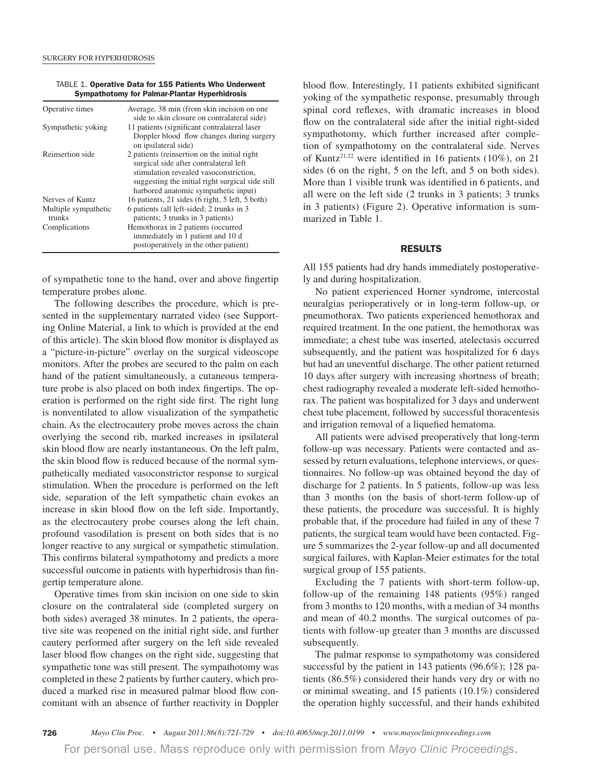Table 1. Operative Data for 155 Patients Who Underwent Sympathotomy for Palmar-Plantar Hyperhidrosis

| Operative times                | Average, 38 min (from skin incision on one<br>side to skin closure on contralateral side)                                                                                                                                     |
|--------------------------------|-------------------------------------------------------------------------------------------------------------------------------------------------------------------------------------------------------------------------------|
| Sympathetic yoking             | 11 patients (significant contralateral laser<br>Doppler blood flow changes during surgery<br>on ipsilateral side)                                                                                                             |
| Reinsertion side               | 2 patients (reinsertion on the initial right)<br>surgical side after contralateral left<br>stimulation revealed vasoconstriction.<br>suggesting the initial right surgical side still<br>harbored anatomic sympathetic input) |
| Nerves of Kuntz                | 16 patients, 21 sides (6 right, 5 left, 5 both)                                                                                                                                                                               |
| Multiple sympathetic<br>trunks | 6 patients (all left-sided; 2 trunks in 3<br>patients; 3 trunks in 3 patients)                                                                                                                                                |
| Complications                  | Hemothorax in 2 patients (occurred<br>immediately in 1 patient and 10 d<br>postoperatively in the other patient)                                                                                                              |

of sympathetic tone to the hand, over and above fingertip temperature probes alone.

The following describes the procedure, which is presented in the supplementary narrated video (see Supporting Online Material, a link to which is provided at the end of this article). The skin blood flow monitor is displayed as a "picture-in-picture" overlay on the surgical videoscope monitors. After the probes are secured to the palm on each hand of the patient simultaneously, a cutaneous temperature probe is also placed on both index fingertips. The operation is performed on the right side first. The right lung is nonventilated to allow visualization of the sympathetic chain. As the electrocautery probe moves across the chain overlying the second rib, marked increases in ipsilateral skin blood flow are nearly instantaneous. On the left palm, the skin blood flow is reduced because of the normal sympathetically mediated vasoconstrictor response to surgical stimulation. When the procedure is performed on the left side, separation of the left sympathetic chain evokes an increase in skin blood flow on the left side. Importantly, as the electrocautery probe courses along the left chain, profound vasodilation is present on both sides that is no longer reactive to any surgical or sympathetic stimulation. This confirms bilateral sympathotomy and predicts a more successful outcome in patients with hyperhidrosis than fingertip temperature alone.

Operative times from skin incision on one side to skin closure on the contralateral side (completed surgery on both sides) averaged 38 minutes. In 2 patients, the operative site was reopened on the initial right side, and further cautery performed after surgery on the left side revealed laser blood flow changes on the right side, suggesting that sympathetic tone was still present. The sympathotomy was completed in these 2 patients by further cautery, which produced a marked rise in measured palmar blood flow concomitant with an absence of further reactivity in Doppler

blood flow. Interestingly, 11 patients exhibited significant yoking of the sympathetic response, presumably through spinal cord reflexes, with dramatic increases in blood flow on the contralateral side after the initial right-sided sympathotomy, which further increased after completion of sympathotomy on the contralateral side. Nerves of Kuntz21,22 were identified in 16 patients (10%), on 21 sides (6 on the right, 5 on the left, and 5 on both sides). More than 1 visible trunk was identified in 6 patients, and all were on the left side (2 trunks in 3 patients; 3 trunks in 3 patients) (Figure 2). Operative information is summarized in Table 1.

### RESULTS

All 155 patients had dry hands immediately postoperatively and during hospitalization.

No patient experienced Horner syndrome, intercostal neuralgias perioperatively or in long-term follow-up, or pneumothorax. Two patients experienced hemothorax and required treatment. In the one patient, the hemothorax was immediate; a chest tube was inserted, atelectasis occurred subsequently, and the patient was hospitalized for 6 days but had an uneventful discharge. The other patient returned 10 days after surgery with increasing shortness of breath; chest radiography revealed a moderate left-sided hemothorax. The patient was hospitalized for 3 days and underwent chest tube placement, followed by successful thoracentesis and irrigation removal of a liquefied hematoma.

All patients were advised preoperatively that long-term follow-up was necessary. Patients were contacted and assessed by return evaluations, telephone interviews, or questionnaires. No follow-up was obtained beyond the day of discharge for 2 patients. In 5 patients, follow-up was less than 3 months (on the basis of short-term follow-up of these patients, the procedure was successful. It is highly probable that, if the procedure had failed in any of these 7 patients, the surgical team would have been contacted. Figure 5 summarizes the 2-year follow-up and all documented surgical failures, with Kaplan-Meier estimates for the total surgical group of 155 patients.

Excluding the 7 patients with short-term follow-up, follow-up of the remaining 148 patients (95%) ranged from 3 months to 120 months, with a median of 34 months and mean of 40.2 months. The surgical outcomes of patients with follow-up greater than 3 months are discussed subsequently.

The palmar response to sympathotomy was considered successful by the patient in 143 patients (96.6%); 128 patients (86.5%) considered their hands very dry or with no or minimal sweating, and 15 patients (10.1%) considered the operation highly successful, and their hands exhibited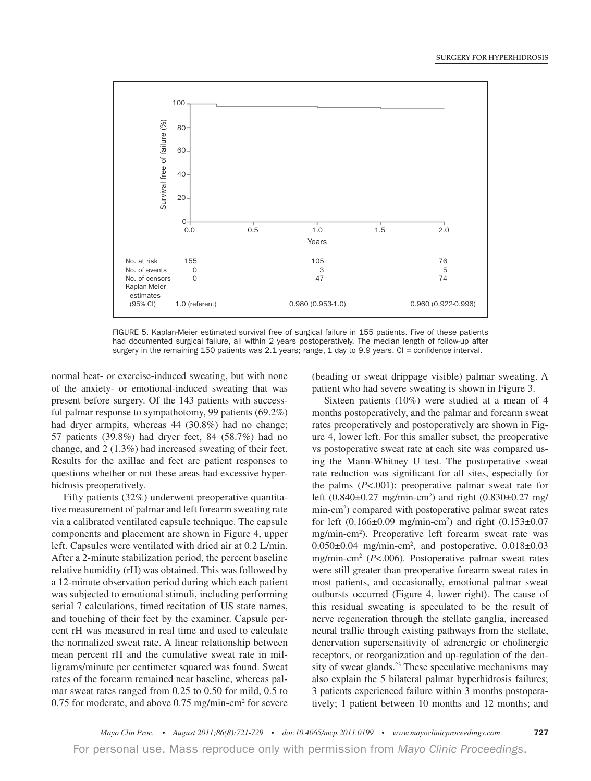

FIGURE 5. Kaplan-Meier estimated survival free of surgical failure in 155 patients. Five of these patients had documented surgical failure, all within 2 years postoperatively. The median length of follow-up after surgery in the remaining 150 patients was 2.1 years; range, 1 day to 9.9 years. CI = confidence interval.

normal heat- or exercise-induced sweating, but with none of the anxiety- or emotional-induced sweating that was present before surgery. Of the 143 patients with successful palmar response to sympathotomy, 99 patients (69.2%) had dryer armpits, whereas 44 (30.8%) had no change; 57 patients (39.8%) had dryer feet, 84 (58.7%) had no change, and 2 (1.3%) had increased sweating of their feet. Results for the axillae and feet are patient responses to questions whether or not these areas had excessive hyperhidrosis preoperatively.

Fifty patients (32%) underwent preoperative quantitative measurement of palmar and left forearm sweating rate via a calibrated ventilated capsule technique. The capsule components and placement are shown in Figure 4, upper left. Capsules were ventilated with dried air at 0.2 L/min. After a 2-minute stabilization period, the percent baseline relative humidity (rH) was obtained. This was followed by a 12-minute observation period during which each patient was subjected to emotional stimuli, including performing serial 7 calculations, timed recitation of US state names, and touching of their feet by the examiner. Capsule percent rH was measured in real time and used to calculate the normalized sweat rate. A linear relationship between mean percent rH and the cumulative sweat rate in milligrams/minute per centimeter squared was found. Sweat rates of the forearm remained near baseline, whereas palmar sweat rates ranged from 0.25 to 0.50 for mild, 0.5 to 0.75 for moderate, and above 0.75 mg/min-cm2 for severe (beading or sweat drippage visible) palmar sweating. A patient who had severe sweating is shown in Figure 3.

Sixteen patients (10%) were studied at a mean of 4 months postoperatively, and the palmar and forearm sweat rates preoperatively and postoperatively are shown in Figure 4, lower left. For this smaller subset, the preoperative vs postoperative sweat rate at each site was compared using the Mann-Whitney U test. The postoperative sweat rate reduction was significant for all sites, especially for the palms (*P*<.001): preoperative palmar sweat rate for left (0.840±0.27 mg/min-cm2 ) and right (0.830±0.27 mg/ min-cm2 ) compared with postoperative palmar sweat rates for left  $(0.166 \pm 0.09 \text{ mg/min-cm}^2)$  and right  $(0.153 \pm 0.07 \text{ m})$ mg/min-cm2 ). Preoperative left forearm sweat rate was  $0.050\pm0.04$  mg/min-cm<sup>2</sup>, and postoperative,  $0.018\pm0.03$ mg/min-cm2 (*P*<.006). Postoperative palmar sweat rates were still greater than preoperative forearm sweat rates in most patients, and occasionally, emotional palmar sweat outbursts occurred (Figure 4, lower right). The cause of this residual sweating is speculated to be the result of nerve regeneration through the stellate ganglia, increased neural traffic through existing pathways from the stellate, denervation supersensitivity of adrenergic or cholinergic receptors, or reorganization and up-regulation of the density of sweat glands.<sup>23</sup> These speculative mechanisms may also explain the 5 bilateral palmar hyperhidrosis failures; 3 patients experienced failure within 3 months postoperatively; 1 patient between 10 months and 12 months; and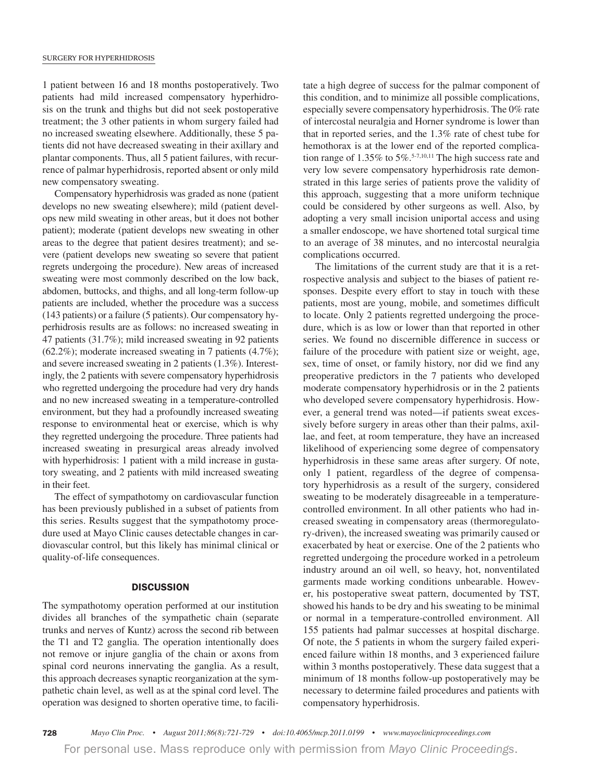1 patient between 16 and 18 months postoperatively. Two patients had mild increased compensatory hyperhidrosis on the trunk and thighs but did not seek postoperative treatment; the 3 other patients in whom surgery failed had no increased sweating elsewhere. Additionally, these 5 patients did not have decreased sweating in their axillary and plantar components. Thus, all 5 patient failures, with recurrence of palmar hyperhidrosis, reported absent or only mild new compensatory sweating.

Compensatory hyperhidrosis was graded as none (patient develops no new sweating elsewhere); mild (patient develops new mild sweating in other areas, but it does not bother patient); moderate (patient develops new sweating in other areas to the degree that patient desires treatment); and severe (patient develops new sweating so severe that patient regrets undergoing the procedure). New areas of increased sweating were most commonly described on the low back, abdomen, buttocks, and thighs, and all long-term follow-up patients are included, whether the procedure was a success (143 patients) or a failure (5 patients). Our compensatory hyperhidrosis results are as follows: no increased sweating in 47 patients (31.7%); mild increased sweating in 92 patients (62.2%); moderate increased sweating in 7 patients (4.7%); and severe increased sweating in 2 patients (1.3%). Interestingly, the 2 patients with severe compensatory hyperhidrosis who regretted undergoing the procedure had very dry hands and no new increased sweating in a temperature-controlled environment, but they had a profoundly increased sweating response to environmental heat or exercise, which is why they regretted undergoing the procedure. Three patients had increased sweating in presurgical areas already involved with hyperhidrosis: 1 patient with a mild increase in gustatory sweating, and 2 patients with mild increased sweating in their feet.

The effect of sympathotomy on cardiovascular function has been previously published in a subset of patients from this series. Results suggest that the sympathotomy procedure used at Mayo Clinic causes detectable changes in cardiovascular control, but this likely has minimal clinical or quality-of-life consequences.

## **DISCUSSION**

The sympathotomy operation performed at our institution divides all branches of the sympathetic chain (separate trunks and nerves of Kuntz) across the second rib between the T1 and T2 ganglia. The operation intentionally does not remove or injure ganglia of the chain or axons from spinal cord neurons innervating the ganglia. As a result, this approach decreases synaptic reorganization at the sympathetic chain level, as well as at the spinal cord level. The operation was designed to shorten operative time, to facilitate a high degree of success for the palmar component of this condition, and to minimize all possible complications, especially severe compensatory hyperhidrosis. The 0% rate of intercostal neuralgia and Horner syndrome is lower than that in reported series, and the 1.3% rate of chest tube for hemothorax is at the lower end of the reported complication range of  $1.35\%$  to  $5\%$ .<sup>5-7,10,11</sup> The high success rate and very low severe compensatory hyperhidrosis rate demonstrated in this large series of patients prove the validity of this approach, suggesting that a more uniform technique could be considered by other surgeons as well. Also, by adopting a very small incision uniportal access and using a smaller endoscope, we have shortened total surgical time to an average of 38 minutes, and no intercostal neuralgia complications occurred.

The limitations of the current study are that it is a retrospective analysis and subject to the biases of patient responses. Despite every effort to stay in touch with these patients, most are young, mobile, and sometimes difficult to locate. Only 2 patients regretted undergoing the procedure, which is as low or lower than that reported in other series. We found no discernible difference in success or failure of the procedure with patient size or weight, age, sex, time of onset, or family history, nor did we find any preoperative predictors in the 7 patients who developed moderate compensatory hyperhidrosis or in the 2 patients who developed severe compensatory hyperhidrosis. However, a general trend was noted—if patients sweat excessively before surgery in areas other than their palms, axillae, and feet, at room temperature, they have an increased likelihood of experiencing some degree of compensatory hyperhidrosis in these same areas after surgery. Of note, only 1 patient, regardless of the degree of compensatory hyperhidrosis as a result of the surgery, considered sweating to be moderately disagreeable in a temperaturecontrolled environment. In all other patients who had increased sweating in compensatory areas (thermoregulatory-driven), the increased sweating was primarily caused or exacerbated by heat or exercise. One of the 2 patients who regretted undergoing the procedure worked in a petroleum industry around an oil well, so heavy, hot, nonventilated garments made working conditions unbearable. However, his postoperative sweat pattern, documented by TST, showed his hands to be dry and his sweating to be minimal or normal in a temperature-controlled environment. All 155 patients had palmar successes at hospital discharge. Of note, the 5 patients in whom the surgery failed experienced failure within 18 months, and 3 experienced failure within 3 months postoperatively. These data suggest that a minimum of 18 months follow-up postoperatively may be necessary to determine failed procedures and patients with compensatory hyperhidrosis.